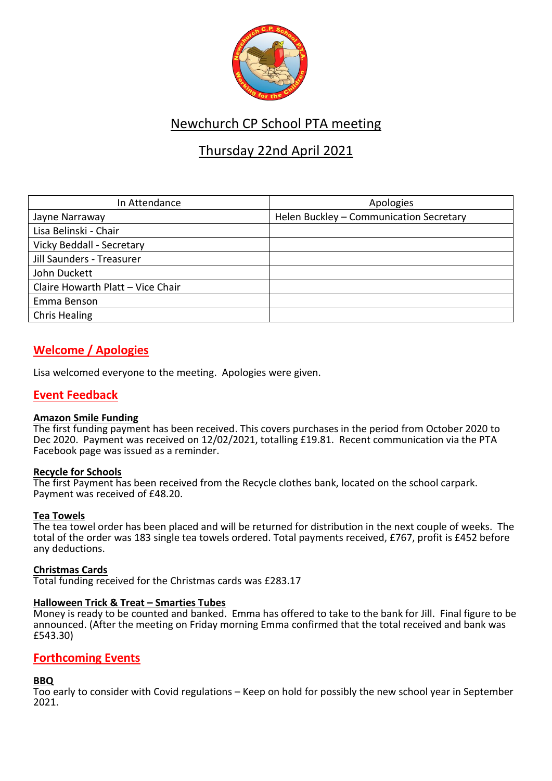

# Newchurch CP School PTA meeting

# Thursday 22nd April 2021

| In Attendance                     | Apologies                               |
|-----------------------------------|-----------------------------------------|
| Jayne Narraway                    | Helen Buckley - Communication Secretary |
| Lisa Belinski - Chair             |                                         |
| Vicky Beddall - Secretary         |                                         |
| Jill Saunders - Treasurer         |                                         |
| John Duckett                      |                                         |
| Claire Howarth Platt - Vice Chair |                                         |
| Emma Benson                       |                                         |
| <b>Chris Healing</b>              |                                         |

# **Welcome / Apologies**

Lisa welcomed everyone to the meeting. Apologies were given.

# **Event Feedback**

### **Amazon Smile Funding**

The first funding payment has been received. This covers purchases in the period from October 2020 to Dec 2020. Payment was received on 12/02/2021, totalling £19.81. Recent communication via the PTA Facebook page was issued as a reminder.

### **Recycle for Schools**

The first Payment has been received from the Recycle clothes bank, located on the school carpark. Payment was received of £48.20.

### **Tea Towels**

The tea towel order has been placed and will be returned for distribution in the next couple of weeks. The total of the order was 183 single tea towels ordered. Total payments received, £767, profit is £452 before any deductions.

### **Christmas Cards**

Total funding received for the Christmas cards was £283.17

### **Halloween Trick & Treat – Smarties Tubes**

Money is ready to be counted and banked. Emma has offered to take to the bank for Jill. Final figure to be announced. (After the meeting on Friday morning Emma confirmed that the total received and bank was £543.30)

# **Forthcoming Events**

### **BBQ**

Too early to consider with Covid regulations – Keep on hold for possibly the new school year in September 2021.